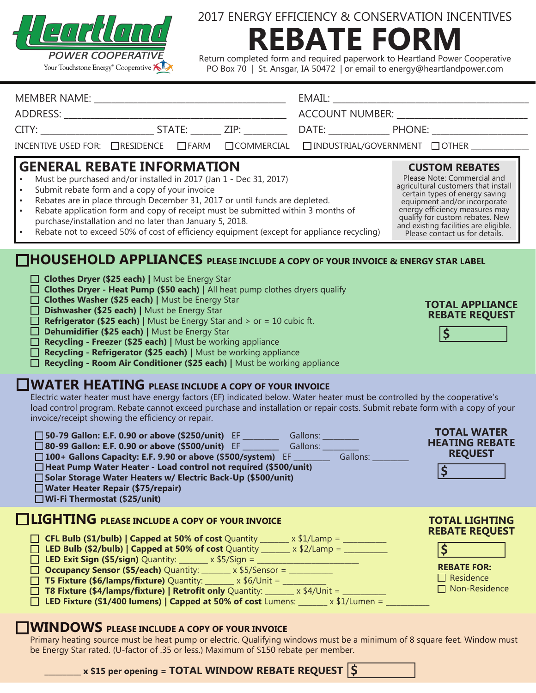

# 2017 ENERGY EFFICIENCY & CONSERVATION INCENTIVES **REBATE FORM**

Return completed form and required paperwork to Heartland Power Cooperative PO Box 70 | St. Ansgar, IA 50472 | or email to energy@heartlandpower.com

|                                                                                                         |  |  | INCENTIVE USED FOR: $\Box$ RESIDENCE $\Box$ FARM $\Box$ COMMERCIAL $\Box$ INDUSTRIAL/GOVERNMENT $\Box$ OTHER $\Box$ |  |
|---------------------------------------------------------------------------------------------------------|--|--|---------------------------------------------------------------------------------------------------------------------|--|
| <b>GENERAL REBATE INFORMATION</b><br>• Must be purchased and/or installed in 2017 (Jan 1 - Dec 31 2017) |  |  | <b>CUSTOM REBATES</b><br>Please Note: Commercial and                                                                |  |

- Must be purchased and/or installed in 2017 (Jan 1 Dec 31, 2017)
- Submit rebate form and a copy of your invoice
- Rebates are in place through December 31, 2017 or until funds are depleted.
- Rebate application form and copy of receipt must be submitted within 3 months of • purchase/installation and no later than January 5, 2018.
- Rebate not to exceed 50% of cost of efficiency equipment (except for appliance recycling)

## **HOUSEHOLD APPLIANCES PLEASE INCLUDE A COPY OF YOUR INVOICE & ENERGY STAR LABEL**

- **Clothes Dryer (\$25 each) | Must be Energy Star**
- **Clothes Dryer Heat Pump (\$50 each) |** All heat pump clothes dryers qualify
- **Clothes Washer (\$25 each) | Must be Energy Star**
- □ Dishwasher (\$25 each) | Must be Energy Star
- Refrigerator (\$25 each) | Must be Energy Star and > or = 10 cubic ft.
- □ Dehumidifier (\$25 each) | Must be Energy Star
- **Recycling Freezer (\$25 each)** | Must be working appliance
- **Recycling Refrigerator (\$25 each) |** Must be working appliance
- □ Recycling Room Air Conditioner (\$25 each) | Must be working appliance

### **WATER HEATING PLEASE INCLUDE A COPY OF YOUR INVOICE**

Electric water heater must have energy factors (EF) indicated below. Water heater must be controlled by the cooperative's load control program. Rebate cannot exceed purchase and installation or repair costs. Submit rebate form with a copy of your invoice/receipt showing the efficiency or repair.

 **50-79 Gallon: E.F. 0.90 or above (\$250/unit)** EF \_\_\_\_\_\_\_\_\_\_ Gallons: \_\_\_\_\_\_\_\_\_\_ **□ 80-99 Gallon: E.F. 0.90 or above (\$500/unit)** EF \_\_\_\_\_\_\_\_\_\_ Gallons: \_\_\_\_\_\_\_\_\_<br>□ 100+ Gallons Capacity: E.F. 9.90 or above (\$500/system) EF \_\_\_\_\_\_\_\_\_ Gallons: □ 100+ Gallons Capacity: E.F. 9.90 or above (\$500/system) EF \_\_\_\_\_\_\_\_

|                      |  |  | □ Heat Pump Water Heater - Load control not required (\$500/unit)                                                                                   |  |
|----------------------|--|--|-----------------------------------------------------------------------------------------------------------------------------------------------------|--|
| $\Box$ $\Box$ $\Box$ |  |  | $\mathbf{r}$ , $\mathbf{r}$ , $\mathbf{r}$ , $\mathbf{r}$ , $\mathbf{r}$ , $\mathbf{r}$ , $\mathbf{r}$ , $\mathbf{r}$ , $\mathbf{r}$ , $\mathbf{r}$ |  |

#### **Solar Storage Water Heaters w/ Electric Back-Up (\$500/unit)**

 **Water Heater Repair (\$75/repair)**

 **Wi-Fi Thermostat (\$25/unit)**

## **LIGHTING PLEASE INCLUDE A COPY OF YOUR INVOICE**

- □ **CFL Bulb (\$1/bulb) | Capped at 50% of cost** Quantity \_\_\_\_\_\_ x \$1/Lamp = \_\_\_\_\_\_\_\_\_
- □ LED Bulb (\$2/bulb) | Capped at 50% of cost Quantity \_\_\_\_\_\_ x \$2/Lamp = \_\_\_\_\_\_\_\_
- **LED Exit Sign (\$5/sign)** Quantity: \_\_\_\_\_\_\_\_ x \$5/Sign = \_\_\_\_\_\_\_\_\_\_\_\_\_\_\_\_\_\_\_\_\_\_\_\_\_\_\_\_
- □ **Occupancy Sensor (\$5/each)** Quantity: \_\_\_\_\_\_ x \$5/Sensor = \_\_\_\_\_\_\_\_\_
- **T5 Fixture (\$6/lamps/fixture)** Quantity: \_\_\_\_\_\_\_ x \$6/Unit = \_\_\_\_\_\_\_\_\_\_
- **T8 Fixture (\$4/lamps/fixture) | Retrofit only** Quantity: \_\_\_\_\_\_\_ x \$4/Unit = \_\_\_
- **LED Fixture (\$1/400 lumens) | Capped at 50% of cost** Lumens: \_\_\_\_\_\_\_\_ x \$1/Lumen = \_\_\_\_\_\_\_\_\_\_\_\_

 $\blacksquare$  x \$15 per opening = TOTAL WINDOW REBATE REQUEST  $\vert$  \$

## **WINDOWS PLEASE INCLUDE A COPY OF YOUR INVOICE**

Primary heating source must be heat pump or electric. Qualifying windows must be a minimum of 8 square feet. Window must be Energy Star rated. (U-factor of .35 or less.) Maximum of \$150 rebate per member.

#### **TOTAL APPLIANCE REBATE REQUEST**

agricultural customers that install certain types of energy saving equipment and/or incorporate energy efficiency measures may qualify for custom rebates. New and existing facilities are eligible. Please contact us for details.

| <b>TOTAL LIGHTING</b> |
|-----------------------|
| <b>REBATE REQUEST</b> |

**TOTAL WATER HEATING REBATE REQUEST**

**\$**



- 
- Residence
- □ Non-Residence